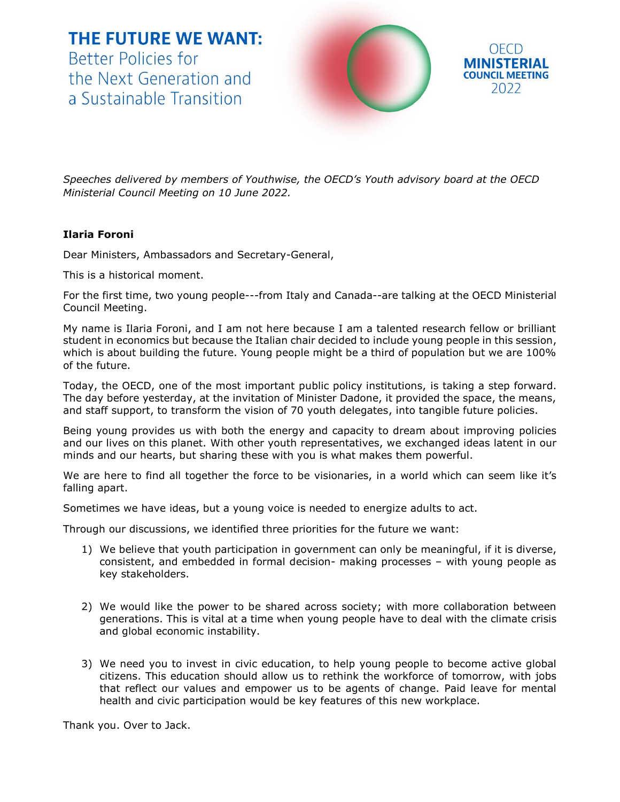**THE FUTURE WE WANT:** Better Policies for the Next Generation and a Sustainable Transition



*Speeches delivered by members of Youthwise, the OECD's Youth advisory board at the OECD Ministerial Council Meeting on 10 June 2022.*

## **Ilaria Foroni**

Dear Ministers, Ambassadors and Secretary-General,

This is a historical moment.

For the first time, two young people---from Italy and Canada--are talking at the OECD Ministerial Council Meeting.

My name is Ilaria Foroni, and I am not here because I am a talented research fellow or brilliant student in economics but because the Italian chair decided to include young people in this session, which is about building the future. Young people might be a third of population but we are 100% of the future.

Today, the OECD, one of the most important public policy institutions, is taking a step forward. The day before yesterday, at the invitation of Minister Dadone, it provided the space, the means, and staff support, to transform the vision of 70 youth delegates, into tangible future policies.

Being young provides us with both the energy and capacity to dream about improving policies and our lives on this planet. With other youth representatives, we exchanged ideas latent in our minds and our hearts, but sharing these with you is what makes them powerful.

We are here to find all together the force to be visionaries, in a world which can seem like it's falling apart.

Sometimes we have ideas, but a young voice is needed to energize adults to act.

Through our discussions, we identified three priorities for the future we want:

- 1) We believe that youth participation in government can only be meaningful, if it is diverse, consistent, and embedded in formal decision- making processes – with young people as key stakeholders.
- 2) We would like the power to be shared across society; with more collaboration between generations. This is vital at a time when young people have to deal with the climate crisis and global economic instability.
- 3) We need you to invest in civic education, to help young people to become active global citizens. This education should allow us to rethink the workforce of tomorrow, with jobs that reflect our values and empower us to be agents of change. Paid leave for mental health and civic participation would be key features of this new workplace.

Thank you. Over to Jack.